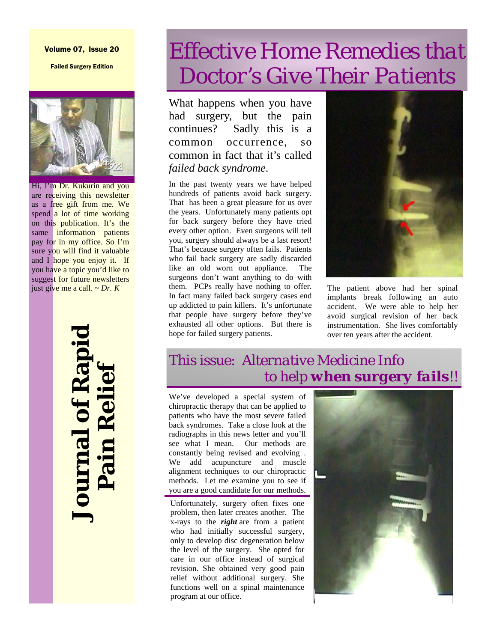#### Volume 07, Issue 20

Failed Surgery Edition



Hi, I'm Dr. Kukurin and you Hi, I'm Dr. Kukurin and you are receiving this newsletter as a free gift from me. We spend a lot of time working on this publication. It's the same information patients pay for in my office. So I'm sure you will find it valuable and I hope you enjoy it. If you have a topic you'd like to suggest for future newsletters just give me a call. ~ *Dr. K* 

**Journal of Rapid Journal of Rapi**<br>Pain Relief  **Pain Relief** 

# *Effective Home Remedies that Doctor's Give Their Patients*

What happens when you have had surgery, but the pain continues? Sadly this is a common occurrence, so common in fact that it's called *failed back syndrome*.

In the past twenty years we have helped hundreds of patients avoid back surgery. That has been a great pleasure for us over the years. Unfortunately many patients opt for back surgery before they have tried every other option. Even surgeons will tell you, surgery should always be a last resort! That's because surgery often fails. Patients who fail back surgery are sadly discarded like an old worn out appliance. The surgeons don't want anything to do with them. PCPs really have nothing to offer. In fact many failed back surgery cases end up addicted to pain killers. It's unfortunate that people have surgery before they've exhausted all other options. But there is hope for failed surgery patients.



The patient above had her spinal implants break following an auto accident. We were able to help her avoid surgical revision of her back instrumentation. She lives comfortably over ten years after the accident.

#### This issue: *Alternative Medicine Info* to help *when surgery fails*!!

We've developed a special system of chiropractic therapy that can be applied to patients who have the most severe failed back syndromes. Take a close look at the radiographs in this news letter and you'll see what I mean. Our methods are constantly being revised and evolving . We add acupuncture and muscle alignment techniques to our chiropractic methods. Let me examine you to see if you are a good candidate for our methods.

Unfortunately, surgery often fixes one problem, then later creates another. The x-rays to the *right* are from a patient who had initially successful surgery, only to develop disc degeneration below the level of the surgery. She opted for care in our office instead of surgical revision. She obtained very good pain relief without additional surgery. She functions well on a spinal maintenance program at our office.